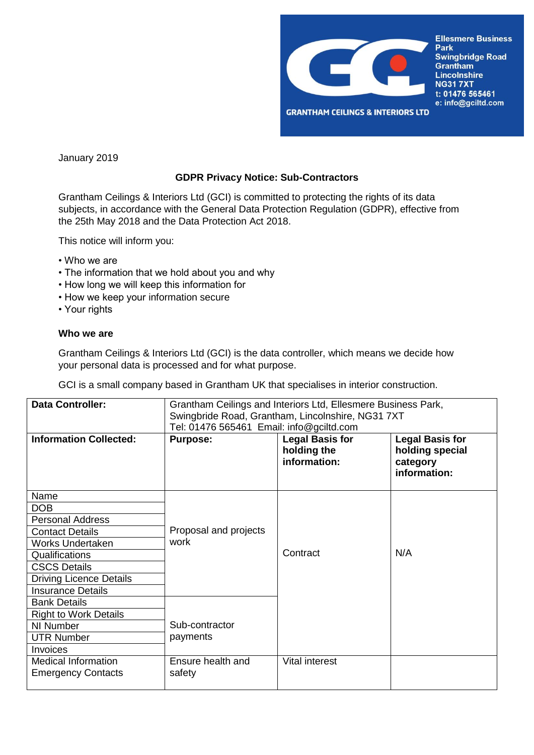

January 2019

## **GDPR Privacy Notice: Sub-Contractors**

Grantham Ceilings & Interiors Ltd (GCI) is committed to protecting the rights of its data subjects, in accordance with the General Data Protection Regulation (GDPR), effective from the 25th May 2018 and the Data Protection Act 2018.

This notice will inform you:

- Who we are
- The information that we hold about you and why
- How long we will keep this information for
- How we keep your information secure
- Your rights

## **Who we are**

Grantham Ceilings & Interiors Ltd (GCI) is the data controller, which means we decide how your personal data is processed and for what purpose.

GCI is a small company based in Grantham UK that specialises in interior construction.

| <b>Data Controller:</b>        | Grantham Ceilings and Interiors Ltd, Ellesmere Business Park,<br>Swingbride Road, Grantham, Lincolnshire, NG31 7XT<br>Tel: 01476 565461 Email: info@gciltd.com |                                                       |                                                                       |
|--------------------------------|----------------------------------------------------------------------------------------------------------------------------------------------------------------|-------------------------------------------------------|-----------------------------------------------------------------------|
| <b>Information Collected:</b>  | <b>Purpose:</b>                                                                                                                                                | <b>Legal Basis for</b><br>holding the<br>information: | <b>Legal Basis for</b><br>holding special<br>category<br>information: |
| Name                           |                                                                                                                                                                |                                                       |                                                                       |
| <b>DOB</b>                     |                                                                                                                                                                |                                                       |                                                                       |
| <b>Personal Address</b>        |                                                                                                                                                                |                                                       |                                                                       |
| <b>Contact Details</b>         | Proposal and projects                                                                                                                                          |                                                       |                                                                       |
| <b>Works Undertaken</b>        | work                                                                                                                                                           |                                                       |                                                                       |
| Qualifications                 |                                                                                                                                                                | Contract                                              | N/A                                                                   |
| <b>CSCS Details</b>            |                                                                                                                                                                |                                                       |                                                                       |
| <b>Driving Licence Details</b> |                                                                                                                                                                |                                                       |                                                                       |
| <b>Insurance Details</b>       |                                                                                                                                                                |                                                       |                                                                       |
| <b>Bank Details</b>            |                                                                                                                                                                |                                                       |                                                                       |
| <b>Right to Work Details</b>   |                                                                                                                                                                |                                                       |                                                                       |
| NI Number                      | Sub-contractor                                                                                                                                                 |                                                       |                                                                       |
| <b>UTR Number</b>              | payments                                                                                                                                                       |                                                       |                                                                       |
| Invoices                       |                                                                                                                                                                |                                                       |                                                                       |
| <b>Medical Information</b>     | Ensure health and                                                                                                                                              | <b>Vital interest</b>                                 |                                                                       |
| <b>Emergency Contacts</b>      | safety                                                                                                                                                         |                                                       |                                                                       |
|                                |                                                                                                                                                                |                                                       |                                                                       |